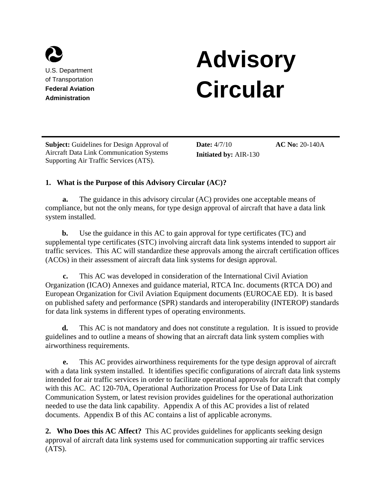

U.S. Department of Transportation **Federal Aviation Administration** 

# **Advisory Circular**

**Subject:** Guidelines for Design Approval of Aircraft Data Link Communication Systems Supporting Air Traffic Services (ATS).

**Date:** 4/7/10 **Initiated by:** AIR-130 **AC No:** 20-140A

# **1. What is the Purpose of this Advisory Circular (AC)?**

**a.** The guidance in this advisory circular (AC) provides one acceptable means of compliance, but not the only means, for type design approval of aircraft that have a data link system installed.

**b.** Use the guidance in this AC to gain approval for type certificates (TC) and supplemental type certificates (STC) involving aircraft data link systems intended to support air traffic services. This AC will standardize these approvals among the aircraft certification offices (ACOs) in their assessment of aircraft data link systems for design approval.

**c.** This AC was developed in consideration of the International Civil Aviation Organization (ICAO) Annexes and guidance material, RTCA Inc. documents (RTCA DO) and European Organization for Civil Aviation Equipment documents (EUROCAE ED). It is based on published safety and performance (SPR) standards and interoperability (INTEROP) standards for data link systems in different types of operating environments.

**d.** This AC is not mandatory and does not constitute a regulation. It is issued to provide guidelines and to outline a means of showing that an aircraft data link system complies with airworthiness requirements.

**e.** This AC provides airworthiness requirements for the type design approval of aircraft with a data link system installed. It identifies specific configurations of aircraft data link systems intended for air traffic services in order to facilitate operational approvals for aircraft that comply with this AC. AC 120-70A, Operational Authorization Process for Use of Data Link Communication System, or latest revision provides guidelines for the operational authorization needed to use the data link capability. Appendix A of this AC provides a list of related documents. Appendix B of this AC contains a list of applicable acronyms.

**2. Who Does this AC Affect?** This AC provides guidelines for applicants seeking design approval of aircraft data link systems used for communication supporting air traffic services  $(ATS)$ .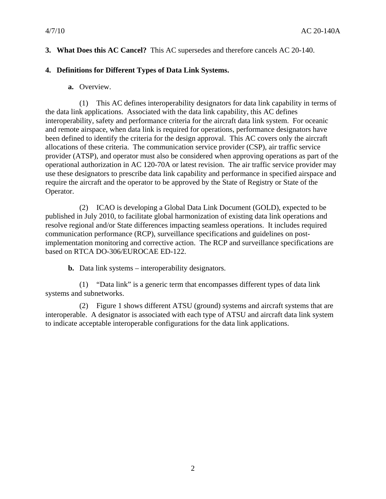# **3. What Does this AC Cancel?** This AC supersedes and therefore cancels AC 20-140.

## **4. Definitions for Different Types of Data Link Systems.**

**a.** Overview.

(1) This AC defines interoperability designators for data link capability in terms of the data link applications. Associated with the data link capability, this AC defines interoperability, safety and performance criteria for the aircraft data link system. For oceanic and remote airspace, when data link is required for operations, performance designators have been defined to identify the criteria for the design approval. This AC covers only the aircraft allocations of these criteria. The communication service provider (CSP), air traffic service provider (ATSP), and operator must also be considered when approving operations as part of the operational authorization in AC 120-70A or latest revision. The air traffic service provider may use these designators to prescribe data link capability and performance in specified airspace and require the aircraft and the operator to be approved by the State of Registry or State of the Operator.

(2) ICAO is developing a Global Data Link Document (GOLD), expected to be published in July 2010, to facilitate global harmonization of existing data link operations and resolve regional and/or State differences impacting seamless operations. It includes required communication performance (RCP), surveillance specifications and guidelines on postimplementation monitoring and corrective action. The RCP and surveillance specifications are based on RTCA DO-306/EUROCAE ED-122.

**b.** Data link systems – interoperability designators.

(1) "Data link" is a generic term that encompasses different types of data link systems and subnetworks.

(2) Figure 1 shows different ATSU (ground) systems and aircraft systems that are interoperable. A designator is associated with each type of ATSU and aircraft data link system to indicate acceptable interoperable configurations for the data link applications.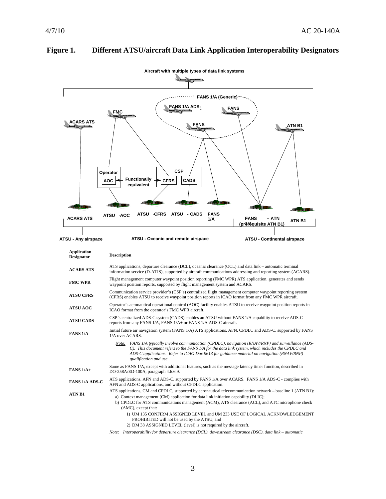

# **Figure 1. Different ATSU/aircraft Data Link Application Interoperability Designators**

| Application<br><b>Designator</b> | <b>Description</b>                                                                                                                                                                                                                                                                                                             |  |  |  |
|----------------------------------|--------------------------------------------------------------------------------------------------------------------------------------------------------------------------------------------------------------------------------------------------------------------------------------------------------------------------------|--|--|--|
| <b>ACARS ATS</b>                 | ATS applications, departure clearance (DCL), oceanic clearance (OCL) and data link – automatic terminal<br>information service (D-ATIS), supported by aircraft communications addressing and reporting system (ACARS).                                                                                                         |  |  |  |
| <b>FMC WPR</b>                   | Flight management computer waypoint position reporting (FMC WPR) ATS application, generates and sends<br>waypoint position reports, supported by flight management system and ACARS.                                                                                                                                           |  |  |  |
| <b>ATSU CFRS</b>                 | Communication service provider's (CSP's) centralized flight management computer waypoint reporting system<br>(CFRS) enables ATSU to receive waypoint position reports in ICAO format from any FMC WPR aircraft.                                                                                                                |  |  |  |
| <b>ATSU AOC</b>                  | Operator's aeronautical operational control (AOC) facility enables ATSU to receive waypoint position reports in<br>ICAO format from the operator's FMC WPR aircraft.                                                                                                                                                           |  |  |  |
| <b>ATSU CADS</b>                 | CSP's centralized ADS-C system (CADS) enables an ATSU without FANS 1/A capability to receive ADS-C<br>reports from any FANS 1/A, FANS 1/A+ or FANS 1/A ADS-C aircraft.                                                                                                                                                         |  |  |  |
| <b>FANS 1/A</b>                  | Initial future air navigation system (FANS 1/A) ATS applications, AFN, CPDLC and ADS-C, supported by FANS<br>1/A over ACARS.                                                                                                                                                                                                   |  |  |  |
|                                  | Note: FANS 1/A typically involve communication (CPDLC), navigation (RNAV/RNP) and surveillance (ADS-<br>C). This document refers to the FANS 1/A for the data link system, which includes the CPDLC and<br>ADS-C applications. Refer to ICAO Doc 9613 for guidance material on navigation (RNAV/RNP)<br>qualification and use. |  |  |  |
| FANS $1/A +$                     | Same as FANS 1/A, except with additional features, such as the message latency timer function, described in<br>DO-258A/ED-100A, paragraph 4.6.6.9.                                                                                                                                                                             |  |  |  |
| <b>FANS 1/A ADS-C</b>            | ATS applications, AFN and ADS-C, supported by FANS 1/A over ACARS. FANS 1/A ADS-C - complies with<br>AFN and ADS-C applications, and without CPDLC application.                                                                                                                                                                |  |  |  |
| <b>ATN B1</b>                    | ATS applications, CM and CPDLC, supported by aeronautical telecommunication network – baseline 1 (ATN B1):<br>a) Context management (CM) application for data link initiation capability (DLIC);<br>b) CPDLC for ATS communications management (ACM), ATS clearance (ACL), and ATC microphone check<br>(AMC), except that:     |  |  |  |
|                                  | 1) UM 135 CONFIRM ASSIGNED LEVEL and UM 233 USE OF LOGICAL ACKNOWLEDGEMENT<br>PROHIBITED will not be used by the ATSU; and<br>2) DM 38 ASSIGNED LEVEL (level) is not required by the aircraft.                                                                                                                                 |  |  |  |
|                                  | $Nota$ . Interconerability for departure clearance (DCI) downstream clearance (DSC) data link automatic                                                                                                                                                                                                                        |  |  |  |

*Note: Interoperability for departure clearance (DCL), downstream clearance (DSC), data link – automatic*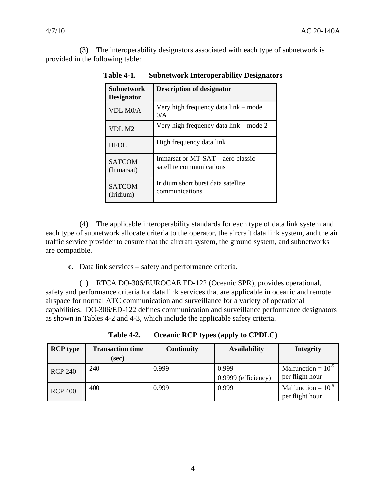(3) The interoperability designators associated with each type of subnetwork is provided in the following table:

| <b>Subnetwork</b><br><b>Designator</b> | <b>Description of designator</b>                              |
|----------------------------------------|---------------------------------------------------------------|
| VDL M <sub>0</sub> /A                  | Very high frequency data link – mode<br>0/A                   |
| VDL M2                                 | Very high frequency data link – mode 2                        |
| HFDL.                                  | High frequency data link                                      |
| <b>SATCOM</b><br>(Inmarsat)            | Inmarsat or MT-SAT – aero classic<br>satellite communications |
| <b>SATCOM</b><br>(Iridium)             | Iridium short burst data satellite<br>communications          |

**Table 4-1. Subnetwork Interoperability Designators** 

(4) The applicable interoperability standards for each type of data link system and each type of subnetwork allocate criteria to the operator, the aircraft data link system, and the air traffic service provider to ensure that the aircraft system, the ground system, and subnetworks are compatible.

**c.** Data link services – safety and performance criteria.

(1) RTCA DO-306/EUROCAE ED-122 (Oceanic SPR), provides operational, safety and performance criteria for data link services that are applicable in oceanic and remote airspace for normal ATC communication and surveillance for a variety of operational capabilities. DO-306/ED-122 defines communication and surveillance performance designators as shown in Tables 4-2 and 4-3, which include the applicable safety criteria.

| <b>RCP</b> type | <b>Transaction time</b><br>(sec) | <b>Continuity</b> | <b>Availability</b>          | <b>Integrity</b>                           |
|-----------------|----------------------------------|-------------------|------------------------------|--------------------------------------------|
| <b>RCP 240</b>  | 240                              | 0.999             | 0.999<br>0.9999 (efficiency) | Malfunction = $10^{-5}$<br>per flight hour |
| <b>RCP 400</b>  | 400                              | 0.999             | 0.999                        | Malfunction = $10^{-5}$<br>per flight hour |

**Table 4-2. Oceanic RCP types (apply to CPDLC)**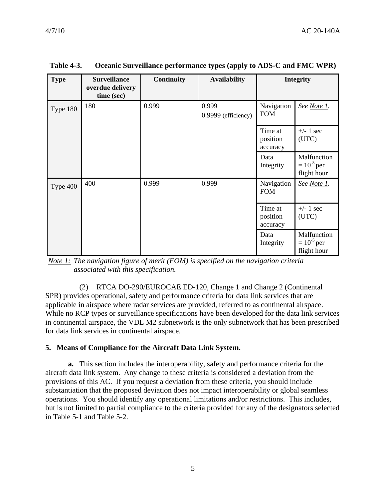| <b>Type</b> | <b>Surveillance</b><br>overdue delivery<br>time (sec) | Continuity | <b>Availability</b>          |                                 | <b>Integrity</b>                              |
|-------------|-------------------------------------------------------|------------|------------------------------|---------------------------------|-----------------------------------------------|
| Type 180    | 180                                                   | 0.999      | 0.999<br>0.9999 (efficiency) | Navigation<br><b>FOM</b>        | See Note 1.                                   |
|             |                                                       |            |                              | Time at<br>position<br>accuracy | $+/- 1$ sec<br>(UTC)                          |
|             |                                                       |            |                              | Data<br>Integrity               | Malfunction<br>$= 10^{-5}$ per<br>flight hour |
| Type 400    | 400                                                   | 0.999      | 0.999                        | Navigation<br><b>FOM</b>        | See Note 1.                                   |
|             |                                                       |            |                              | Time at<br>position<br>accuracy | $+/- 1$ sec<br>(UTC)                          |
|             |                                                       |            |                              | Data<br>Integrity               | Malfunction<br>$= 10^{-5}$ per<br>flight hour |

**Table 4-3. Oceanic Surveillance performance types (apply to ADS-C and FMC WPR)** 

*Note 1: The navigation figure of merit (FOM) is specified on the navigation criteria associated with this specification.*

(2) RTCA DO-290/EUROCAE ED-120, Change 1 and Change 2 (Continental SPR) provides operational, safety and performance criteria for data link services that are applicable in airspace where radar services are provided, referred to as continental airspace. While no RCP types or surveillance specifications have been developed for the data link services in continental airspace, the VDL M2 subnetwork is the only subnetwork that has been prescribed for data link services in continental airspace.

#### **5. Means of Compliance for the Aircraft Data Link System.**

**a.** This section includes the interoperability, safety and performance criteria for the aircraft data link system. Any change to these criteria is considered a deviation from the provisions of this AC. If you request a deviation from these criteria, you should include substantiation that the proposed deviation does not impact interoperability or global seamless operations. You should identify any operational limitations and/or restrictions. This includes, but is not limited to partial compliance to the criteria provided for any of the designators selected in Table 5-1 and Table 5-2.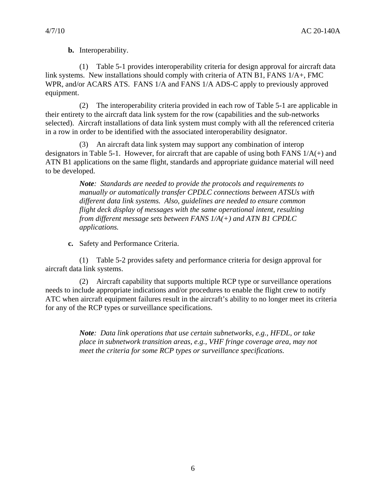**b.** Interoperability.

(1) Table 5-1 provides interoperability criteria for design approval for aircraft data link systems. New installations should comply with criteria of ATN B1, FANS 1/A+, FMC WPR, and/or ACARS ATS. FANS 1/A and FANS 1/A ADS-C apply to previously approved equipment.

(2) The interoperability criteria provided in each row of Table 5-1 are applicable in their entirety to the aircraft data link system for the row (capabilities and the sub-networks selected). Aircraft installations of data link system must comply with all the referenced criteria in a row in order to be identified with the associated interoperability designator.

(3) An aircraft data link system may support any combination of interop designators in Table 5-1. However, for aircraft that are capable of using both FANS 1/A(+) and ATN B1 applications on the same flight, standards and appropriate guidance material will need to be developed.

> *Note: Standards are needed to provide the protocols and requirements to manually or automatically transfer CPDLC connections between ATSUs with different data link systems. Also, guidelines are needed to ensure common flight deck display of messages with the same operational intent, resulting from different message sets between FANS 1/A(+) and ATN B1 CPDLC applications.*

**c.** Safety and Performance Criteria.

(1) Table 5-2 provides safety and performance criteria for design approval for aircraft data link systems.

(2) Aircraft capability that supports multiple RCP type or surveillance operations needs to include appropriate indications and/or procedures to enable the flight crew to notify ATC when aircraft equipment failures result in the aircraft's ability to no longer meet its criteria for any of the RCP types or surveillance specifications.

> *Note: Data link operations that use certain subnetworks, e.g., HFDL, or take place in subnetwork transition areas, e.g., VHF fringe coverage area, may not meet the criteria for some RCP types or surveillance specifications.*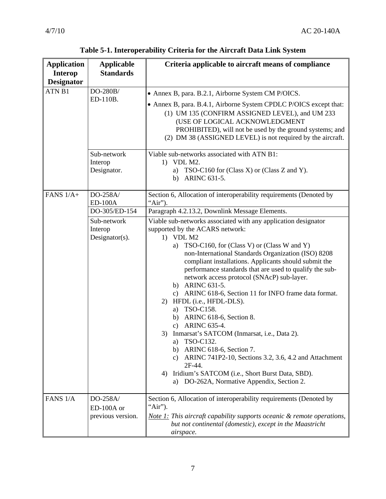| <b>Application</b>                  | <b>Applicable</b><br><b>Standards</b> | Criteria applicable to aircraft means of compliance                               |  |  |
|-------------------------------------|---------------------------------------|-----------------------------------------------------------------------------------|--|--|
| <b>Interop</b><br><b>Designator</b> |                                       |                                                                                   |  |  |
| ATN B1                              | DO-280B/                              |                                                                                   |  |  |
|                                     | ED-110B.                              | • Annex B, para. B.2.1, Airborne System CM P/OICS.                                |  |  |
|                                     |                                       | • Annex B, para. B.4.1, Airborne System CPDLC P/OICS except that:                 |  |  |
|                                     |                                       | (1) UM 135 (CONFIRM ASSIGNED LEVEL), and UM 233<br>(USE OF LOGICAL ACKNOWLEDGMENT |  |  |
|                                     |                                       | PROHIBITED), will not be used by the ground systems; and                          |  |  |
|                                     |                                       | (2) DM 38 (ASSIGNED LEVEL) is not required by the aircraft.                       |  |  |
|                                     |                                       |                                                                                   |  |  |
|                                     | Sub-network                           | Viable sub-networks associated with ATN B1:                                       |  |  |
|                                     | Interop<br>Designator.                | 1) VDL M2.                                                                        |  |  |
|                                     |                                       | TSO-C160 for (Class X) or (Class Z and Y).<br>a)<br>ARINC 631-5.<br>b)            |  |  |
|                                     |                                       |                                                                                   |  |  |
| FANS $1/A+$                         | DO-258A/                              | Section 6, Allocation of interoperability requirements (Denoted by                |  |  |
|                                     | <b>ED-100A</b>                        | "Air").                                                                           |  |  |
|                                     | DO-305/ED-154                         | Paragraph 4.2.13.2, Downlink Message Elements.                                    |  |  |
|                                     | Sub-network                           | Viable sub-networks associated with any application designator                    |  |  |
|                                     | Interop<br>Designator $(s)$ .         | supported by the ACARS network:<br>$1)$ VDL M2                                    |  |  |
|                                     |                                       | TSO-C160, for (Class V) or (Class W and Y)<br>a)                                  |  |  |
|                                     |                                       | non-International Standards Organization (ISO) 8208                               |  |  |
|                                     |                                       | compliant installations. Applicants should submit the                             |  |  |
|                                     |                                       | performance standards that are used to qualify the sub-                           |  |  |
|                                     |                                       | network access protocol (SNAcP) sub-layer.                                        |  |  |
|                                     |                                       | b) ARINC 631-5.<br>ARINC 618-6, Section 11 for INFO frame data format.<br>c)      |  |  |
|                                     |                                       | HFDL (i.e., HFDL-DLS).<br>2)                                                      |  |  |
|                                     |                                       | TSO-C158.<br>a)                                                                   |  |  |
|                                     |                                       | ARINC 618-6, Section 8.<br>b)                                                     |  |  |
|                                     |                                       | ARINC 635-4.<br>$\mathbf{c})$                                                     |  |  |
|                                     |                                       | 3) Inmarsat's SATCOM (Inmarsat, i.e., Data 2).                                    |  |  |
|                                     |                                       | a) TSO-C132.<br>ARINC 618-6, Section 7.<br>b)                                     |  |  |
|                                     |                                       | ARINC 741P2-10, Sections 3.2, 3.6, 4.2 and Attachment<br>$\mathbf{c})$            |  |  |
|                                     |                                       | 2F-44.                                                                            |  |  |
|                                     |                                       | Iridium's SATCOM (i.e., Short Burst Data, SBD).<br>4)                             |  |  |
|                                     |                                       | DO-262A, Normative Appendix, Section 2.<br>a)                                     |  |  |
| FANS 1/A                            | DO-258A/                              | Section 6, Allocation of interoperability requirements (Denoted by                |  |  |
|                                     | ED-100A or                            | "Air").                                                                           |  |  |
|                                     | previous version.                     | Note 1: This aircraft capability supports oceanic & remote operations,            |  |  |
|                                     |                                       | but not continental (domestic), except in the Maastricht                          |  |  |
|                                     |                                       | airspace.                                                                         |  |  |

**Table 5-1. Interoperability Criteria for the Aircraft Data Link System**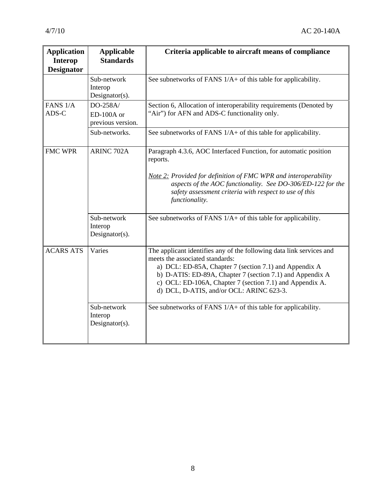| <b>Application</b><br><b>Interop</b><br><b>Designator</b> | <b>Applicable</b><br><b>Standards</b>        | Criteria applicable to aircraft means of compliance                                                                                                                                                                                                                                                                                    |
|-----------------------------------------------------------|----------------------------------------------|----------------------------------------------------------------------------------------------------------------------------------------------------------------------------------------------------------------------------------------------------------------------------------------------------------------------------------------|
|                                                           | Sub-network<br>Interop<br>Designator(s).     | See subnetworks of FANS 1/A+ of this table for applicability.                                                                                                                                                                                                                                                                          |
| FANS 1/A<br>ADS-C                                         | DO-258A/<br>ED-100A or<br>previous version.  | Section 6, Allocation of interoperability requirements (Denoted by<br>"Air") for AFN and ADS-C functionality only.                                                                                                                                                                                                                     |
|                                                           | Sub-networks.                                | See subnetworks of FANS $1/A +$ of this table for applicability.                                                                                                                                                                                                                                                                       |
| <b>FMC WPR</b>                                            | <b>ARINC 702A</b>                            | Paragraph 4.3.6, AOC Interfaced Function, for automatic position<br>reports.<br>Note 2: Provided for definition of FMC WPR and interoperability<br>aspects of the AOC functionality. See DO-306/ED-122 for the<br>safety assessment criteria with respect to use of this<br>functionality.                                             |
|                                                           | Sub-network<br>Interop<br>Designator(s).     | See subnetworks of FANS 1/A+ of this table for applicability.                                                                                                                                                                                                                                                                          |
| <b>ACARS ATS</b>                                          | Varies                                       | The applicant identifies any of the following data link services and<br>meets the associated standards:<br>a) DCL: ED-85A, Chapter 7 (section 7.1) and Appendix A<br>b) D-ATIS: ED-89A, Chapter 7 (section 7.1) and Appendix A<br>c) OCL: ED-106A, Chapter 7 (section 7.1) and Appendix A.<br>d) DCL, D-ATIS, and/or OCL: ARINC 623-3. |
|                                                           | Sub-network<br>Interop<br>Designator( $s$ ). | See subnetworks of FANS 1/A+ of this table for applicability.                                                                                                                                                                                                                                                                          |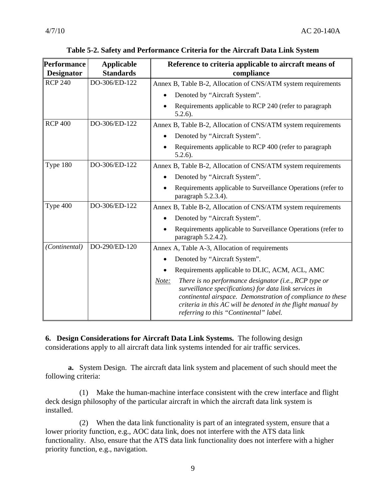| Performance<br><b>Designator</b> | <b>Applicable</b><br><b>Standards</b> | Reference to criteria applicable to aircraft means of<br>compliance                                                                                                                                                                                                                             |
|----------------------------------|---------------------------------------|-------------------------------------------------------------------------------------------------------------------------------------------------------------------------------------------------------------------------------------------------------------------------------------------------|
| <b>RCP 240</b>                   | DO-306/ED-122                         | Annex B, Table B-2, Allocation of CNS/ATM system requirements                                                                                                                                                                                                                                   |
|                                  |                                       | Denoted by "Aircraft System".<br>$\bullet$                                                                                                                                                                                                                                                      |
|                                  |                                       | Requirements applicable to RCP 240 (refer to paragraph<br>$5.2.6$ ).                                                                                                                                                                                                                            |
| <b>RCP 400</b>                   | DO-306/ED-122                         | Annex B, Table B-2, Allocation of CNS/ATM system requirements                                                                                                                                                                                                                                   |
|                                  |                                       | Denoted by "Aircraft System".                                                                                                                                                                                                                                                                   |
|                                  |                                       | Requirements applicable to RCP 400 (refer to paragraph<br>$5.2.6$ ).                                                                                                                                                                                                                            |
| Type 180                         | DO-306/ED-122                         | Annex B, Table B-2, Allocation of CNS/ATM system requirements                                                                                                                                                                                                                                   |
|                                  |                                       | Denoted by "Aircraft System".                                                                                                                                                                                                                                                                   |
|                                  |                                       | Requirements applicable to Surveillance Operations (refer to<br>paragraph 5.2.3.4).                                                                                                                                                                                                             |
| Type 400                         | DO-306/ED-122                         | Annex B, Table B-2, Allocation of CNS/ATM system requirements                                                                                                                                                                                                                                   |
|                                  |                                       | Denoted by "Aircraft System".                                                                                                                                                                                                                                                                   |
|                                  |                                       | Requirements applicable to Surveillance Operations (refer to<br>paragraph 5.2.4.2).                                                                                                                                                                                                             |
| (Continental)                    | DO-290/ED-120                         | Annex A, Table A-3, Allocation of requirements                                                                                                                                                                                                                                                  |
|                                  |                                       | Denoted by "Aircraft System".<br>$\bullet$                                                                                                                                                                                                                                                      |
|                                  |                                       | Requirements applicable to DLIC, ACM, ACL, AMC                                                                                                                                                                                                                                                  |
|                                  |                                       | There is no performance designator (i.e., RCP type or<br>Note:<br>surveillance specifications) for data link services in<br>continental airspace. Demonstration of compliance to these<br>criteria in this AC will be denoted in the flight manual by<br>referring to this "Continental" label. |

**6. Design Considerations for Aircraft Data Link Systems.** The following design considerations apply to all aircraft data link systems intended for air traffic services.

**a.** System Design. The aircraft data link system and placement of such should meet the following criteria:

(1) Make the human-machine interface consistent with the crew interface and flight deck design philosophy of the particular aircraft in which the aircraft data link system is installed.

(2) When the data link functionality is part of an integrated system, ensure that a lower priority function, e.g., AOC data link, does not interfere with the ATS data link functionality. Also, ensure that the ATS data link functionality does not interfere with a higher priority function, e.g., navigation.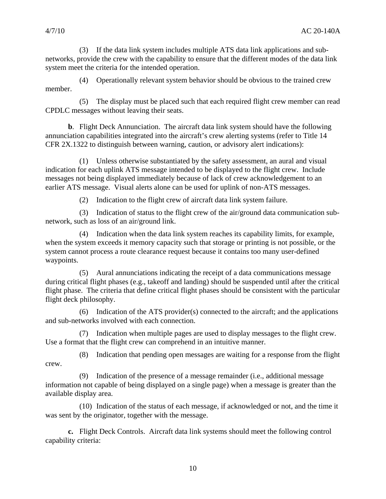(3) If the data link system includes multiple ATS data link applications and subnetworks, provide the crew with the capability to ensure that the different modes of the data link system meet the criteria for the intended operation.

(4) Operationally relevant system behavior should be obvious to the trained crew member.

(5) The display must be placed such that each required flight crew member can read CPDLC messages without leaving their seats.

**b**. Flight Deck Annunciation.The aircraft data link system should have the following annunciation capabilities integrated into the aircraft's crew alerting systems (refer to Title 14 CFR 2X.1322 to distinguish between warning, caution, or advisory alert indications):

(1) Unless otherwise substantiated by the safety assessment, an aural and visual indication for each uplink ATS message intended to be displayed to the flight crew. Include messages not being displayed immediately because of lack of crew acknowledgement to an earlier ATS message. Visual alerts alone can be used for uplink of non-ATS messages.

(2) Indication to the flight crew of aircraft data link system failure.

(3) Indication of status to the flight crew of the air/ground data communication subnetwork, such as loss of an air/ground link.

(4) Indication when the data link system reaches its capability limits, for example, when the system exceeds it memory capacity such that storage or printing is not possible, or the system cannot process a route clearance request because it contains too many user-defined waypoints.

(5) Aural annunciations indicating the receipt of a data communications message during critical flight phases (e.g., takeoff and landing) should be suspended until after the critical flight phase. The criteria that define critical flight phases should be consistent with the particular flight deck philosophy.

(6) Indication of the ATS provider(s) connected to the aircraft; and the applications and sub-networks involved with each connection.

(7) Indication when multiple pages are used to display messages to the flight crew. Use a format that the flight crew can comprehend in an intuitive manner.

(8) Indication that pending open messages are waiting for a response from the flight crew.

(9) Indication of the presence of a message remainder (i.e., additional message information not capable of being displayed on a single page) when a message is greater than the available display area.

(10) Indication of the status of each message, if acknowledged or not, and the time it was sent by the originator, together with the message.

**c.** Flight Deck Controls.Aircraft data link systems should meet the following control capability criteria: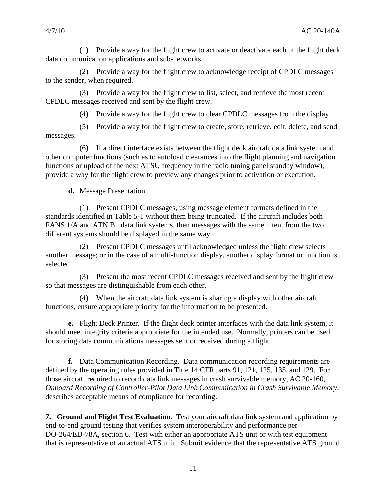(1) Provide a way for the flight crew to activate or deactivate each of the flight deck data communication applications and sub-networks.

(2) Provide a way for the flight crew to acknowledge receipt of CPDLC messages to the sender, when required.

(3) Provide a way for the flight crew to list, select, and retrieve the most recent CPDLC messages received and sent by the flight crew.

(4) Provide a way for the flight crew to clear CPDLC messages from the display.

(5) Provide a way for the flight crew to create, store, retrieve, edit, delete, and send messages.

(6) If a direct interface exists between the flight deck aircraft data link system and other computer functions (such as to autoload clearances into the flight planning and navigation functions or upload of the next ATSU frequency in the radio tuning panel standby window), provide a way for the flight crew to preview any changes prior to activation or execution.

**d.** Message Presentation.

(1) Present CPDLC messages, using message element formats defined in the standards identified in Table 5-1 without them being truncated. If the aircraft includes both FANS 1/A and ATN B1 data link systems, then messages with the same intent from the two different systems should be displayed in the same way.

(2) Present CPDLC messages until acknowledged unless the flight crew selects another message; or in the case of a multi-function display, another display format or function is selected.

(3) Present the most recent CPDLC messages received and sent by the flight crew so that messages are distinguishable from each other.

(4) When the aircraft data link system is sharing a display with other aircraft functions, ensure appropriate priority for the information to be presented.

**e.** Flight Deck Printer.If the flight deck printer interfaces with the data link system, it should meet integrity criteria appropriate for the intended use. Normally, printers can be used for storing data communications messages sent or received during a flight.

**f.** Data Communication Recording. Data communication recording requirements are defined by the operating rules provided in Title 14 CFR parts 91, 121, 125, 135, and 129. For those aircraft required to record data link messages in crash survivable memory, AC 20-160, *Onboard Recording of Controller-Pilot Data Link Communication in Crash Survivable Memory*, describes acceptable means of compliance for recording.

**7. Ground and Flight Test Evaluation.** Test your aircraft data link system and application by end-to-end ground testing that verifies system interoperability and performance per DO-264/ED-78A, section 6. Test with either an appropriate ATS unit or with test equipment that is representative of an actual ATS unit. Submit evidence that the representative ATS ground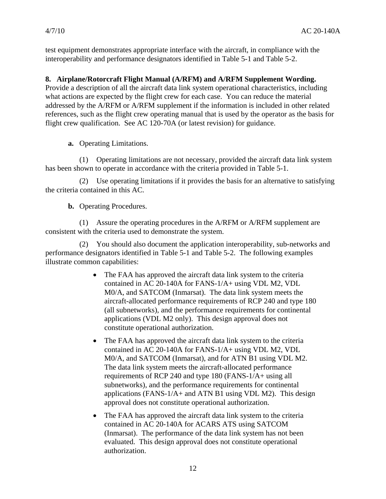test equipment demonstrates appropriate interface with the aircraft, in compliance with the interoperability and performance designators identified in Table 5-1 and Table 5-2.

# **8. Airplane/Rotorcraft Flight Manual (A/RFM) and A/RFM Supplement Wording.**

Provide a description of all the aircraft data link system operational characteristics, including what actions are expected by the flight crew for each case. You can reduce the material addressed by the A/RFM or A/RFM supplement if the information is included in other related references, such as the flight crew operating manual that is used by the operator as the basis for flight crew qualification. See AC 120-70A (or latest revision) for guidance.

**a.** Operating Limitations.

(1) Operating limitations are not necessary, provided the aircraft data link system has been shown to operate in accordance with the criteria provided in Table 5-1.

(2) Use operating limitations if it provides the basis for an alternative to satisfying the criteria contained in this AC.

**b.** Operating Procedures.

(1) Assure the operating procedures in the A/RFM or A/RFM supplement are consistent with the criteria used to demonstrate the system.

(2) You should also document the application interoperability, sub-networks and performance designators identified in Table 5-1 and Table 5-2. The following examples illustrate common capabilities:

- The FAA has approved the aircraft data link system to the criteria contained in AC 20-140A for FANS-1/A+ using VDL M2, VDL M0/A, and SATCOM (Inmarsat). The data link system meets the aircraft-allocated performance requirements of RCP 240 and type 180 (all subnetworks), and the performance requirements for continental applications (VDL M2 only). This design approval does not constitute operational authorization.
- The FAA has approved the aircraft data link system to the criteria contained in AC 20-140A for FANS-1/A+ using VDL M2, VDL M0/A, and SATCOM (Inmarsat), and for ATN B1 using VDL M2. The data link system meets the aircraft-allocated performance requirements of RCP 240 and type 180 (FANS-1/A+ using all subnetworks), and the performance requirements for continental applications (FANS-1/A+ and ATN B1 using VDL M2). This design approval does not constitute operational authorization.
- The FAA has approved the aircraft data link system to the criteria contained in AC 20-140A for ACARS ATS using SATCOM (Inmarsat). The performance of the data link system has not been evaluated. This design approval does not constitute operational authorization.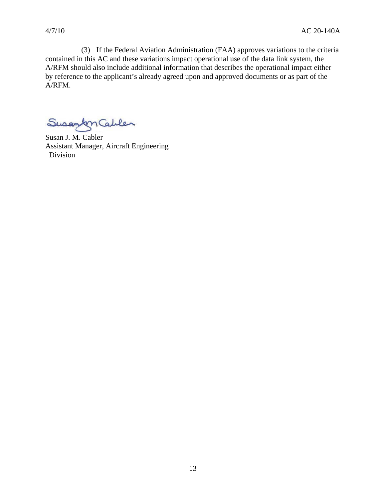(3) If the Federal Aviation Administration (FAA) approves variations to the criteria contained in this AC and these variations impact operational use of the data link system, the A/RFM should also include additional information that describes the operational impact either by reference to the applicant's already agreed upon and approved documents or as part of the A/RFM.

Susantmables

Susan J. M. Cabler Assistant Manager, Aircraft Engineering Division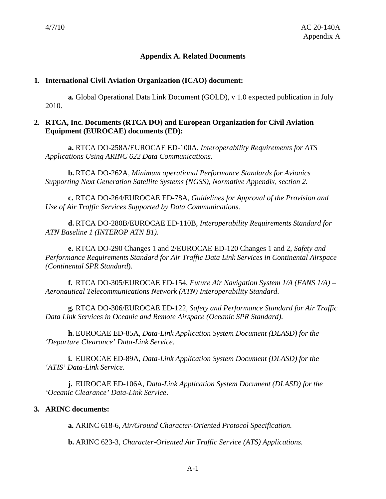# **Appendix A. Related Documents**

#### **1. International Civil Aviation Organization (ICAO) document:**

**a.** Global Operational Data Link Document (GOLD), v 1.0 expected publication in July 2010.

# **2. RTCA, Inc. Documents (RTCA DO) and European Organization for Civil Aviation Equipment (EUROCAE) documents (ED):**

**a.** RTCA DO-258A/EUROCAE ED-100A, *Interoperability Requirements for ATS Applications Using ARINC 622 Data Communications*.

**b.** RTCA DO-262A, *Minimum operational Performance Standards for Avionics Supporting Next Generation Satellite Systems (NGSS), Normative Appendix, section 2.*

**c.** RTCA DO-264/EUROCAE ED-78A, *Guidelines for Approval of the Provision and Use of Air Traffic Services Supported by Data Communications*.

**d.** RTCA DO-280B/EUROCAE ED-110B, *Interoperability Requirements Standard for ATN Baseline 1 (INTEROP ATN B1)*.

**e.** RTCA DO-290 Changes 1 and 2/EUROCAE ED-120 Changes 1 and 2, *Safety and Performance Requirements Standard for Air Traffic Data Link Services in Continental Airspace (Continental SPR Standard*).

**f.** RTCA DO-305/EUROCAE ED-154, *Future Air Navigation System 1/A (FANS 1/A) – Aeronautical Telecommunications Network (ATN) Interoperability Standard*.

**g.** RTCA DO-306/EUROCAE ED-122, *Safety and Performance Standard for Air Traffic Data Link Services in Oceanic and Remote Airspace (Oceanic SPR Standard)*.

**h.** EUROCAE ED-85A, *Data-Link Application System Document (DLASD) for the 'Departure Clearance' Data-Link Service*.

**i.** EUROCAE ED-89A, *Data-Link Application System Document (DLASD) for the 'ATIS' Data-Link Service*.

**j.** EUROCAE ED-106A, *Data-Link Application System Document (DLASD) for the 'Oceanic Clearance' Data-Link Service*.

# **3. ARINC documents:**

**a.** ARINC 618-6, *Air/Ground Character-Oriented Protocol Specification.*

**b.** ARINC 623-3, *Character-Oriented Air Traffic Service (ATS) Applications.*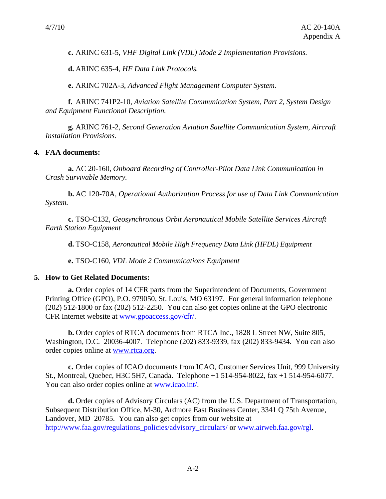**c.** ARINC 631-5, *VHF Digital Link (VDL) Mode 2 Implementation Provisions.*

**d.** ARINC 635-4, *HF Data Link Protocols.*

**e.** ARINC 702A-3, *Advanced Flight Management Computer System.*

**f.** ARINC 741P2-10, *Aviation Satellite Communication System, Part 2, System Design and Equipment Functional Description.*

**g.** ARINC 761-2, *Second Generation Aviation Satellite Communication System, Aircraft Installation Provisions.*

#### **4. FAA documents:**

**a.** AC 20-160, *Onboard Recording of Controller-Pilot Data Link Communication in Crash Survivable Memory.*

**b.** AC 120-70A, *Operational Authorization Process for use of Data Link Communication System.* 

**c.** TSO-C132, *Geosynchronous Orbit Aeronautical Mobile Satellite Services Aircraft Earth Station Equipment* 

**d.** TSO-C158, *Aeronautical Mobile High Frequency Data Link (HFDL) Equipment*

**e.** TSO-C160, *VDL Mode 2 Communications Equipment* 

#### **5. How to Get Related Documents:**

**a.** Order copies of 14 CFR parts from the Superintendent of Documents, Government Printing Office (GPO), P.O. 979050, St. Louis, MO 63197. For general information telephone (202) 512-1800 or fax (202) 512-2250. You can also get copies online at the GPO electronic CFR Internet website at www.gpoaccess.gov/cfr/.

**b.** Order copies of RTCA documents from RTCA Inc., 1828 L Street NW, Suite 805, Washington, D.C. 20036-4007. Telephone (202) 833-9339, fax (202) 833-9434. You can also order copies online at www.rtca.org.

**c.** Order copies of ICAO documents from ICAO, Customer Services Unit, 999 University St., Montreal, Quebec, H3C 5H7, Canada. Telephone +1 514-954-8022, fax +1 514-954-6077. You can also order copies online at www.icao.int/.

**d.** Order copies of Advisory Circulars (AC) from the U.S. Department of Transportation, Subsequent Distribution Office, M-30, Ardmore East Business Center, 3341 Q 75th Avenue, Landover, MD 20785. You can also get copies from our website at http://www.faa.gov/regulations\_policies/advisory\_circulars/ or www.airweb.faa.gov/rgl.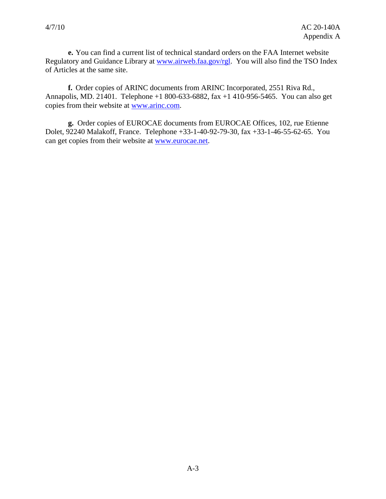**e.** You can find a current list of technical standard orders on the FAA Internet website Regulatory and Guidance Library at www.airweb.faa.gov/rgl. You will also find the TSO Index of Articles at the same site.

**f.** Order copies of ARINC documents from ARINC Incorporated, 2551 Riva Rd., Annapolis, MD. 21401. Telephone +1 800-633-6882, fax +1 410-956-5465. You can also get copies from their website at www.arinc.com.

**g.** Order copies of EUROCAE documents from EUROCAE Offices, 102, rue Etienne Dolet, 92240 Malakoff, France. Telephone +33-1-40-92-79-30, fax +33-1-46-55-62-65. You can get copies from their website at www.eurocae.net.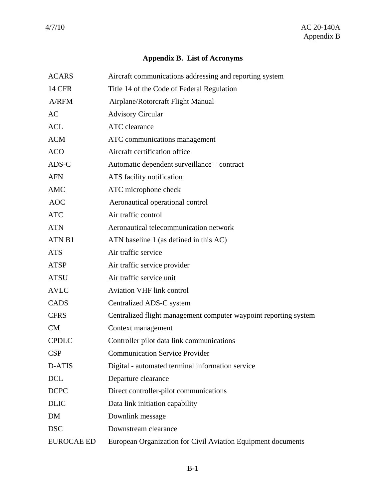# **Appendix B. List of Acronyms**

| <b>ACARS</b>      | Aircraft communications addressing and reporting system          |
|-------------------|------------------------------------------------------------------|
| <b>14 CFR</b>     | Title 14 of the Code of Federal Regulation                       |
| A/RFM             | Airplane/Rotorcraft Flight Manual                                |
| AC                | <b>Advisory Circular</b>                                         |
| <b>ACL</b>        | ATC clearance                                                    |
| <b>ACM</b>        | ATC communications management                                    |
| <b>ACO</b>        | Aircraft certification office                                    |
| ADS-C             | Automatic dependent surveillance – contract                      |
| <b>AFN</b>        | ATS facility notification                                        |
| AMC               | ATC microphone check                                             |
| <b>AOC</b>        | Aeronautical operational control                                 |
| <b>ATC</b>        | Air traffic control                                              |
| <b>ATN</b>        | Aeronautical telecommunication network                           |
| ATN <sub>B1</sub> | ATN baseline 1 (as defined in this AC)                           |
| <b>ATS</b>        | Air traffic service                                              |
| ATSP              | Air traffic service provider                                     |
| <b>ATSU</b>       | Air traffic service unit                                         |
| <b>AVLC</b>       | <b>Aviation VHF link control</b>                                 |
| CADS              | Centralized ADS-C system                                         |
| <b>CFRS</b>       | Centralized flight management computer waypoint reporting system |
| <b>CM</b>         | Context management                                               |
| <b>CPDLC</b>      | Controller pilot data link communications                        |
| <b>CSP</b>        | <b>Communication Service Provider</b>                            |
| D-ATIS            | Digital - automated terminal information service                 |
| DCL               | Departure clearance                                              |
| <b>DCPC</b>       | Direct controller-pilot communications                           |
| <b>DLIC</b>       | Data link initiation capability                                  |
| DM                | Downlink message                                                 |
| <b>DSC</b>        | Downstream clearance                                             |
| <b>EUROCAE ED</b> | European Organization for Civil Aviation Equipment documents     |
|                   |                                                                  |